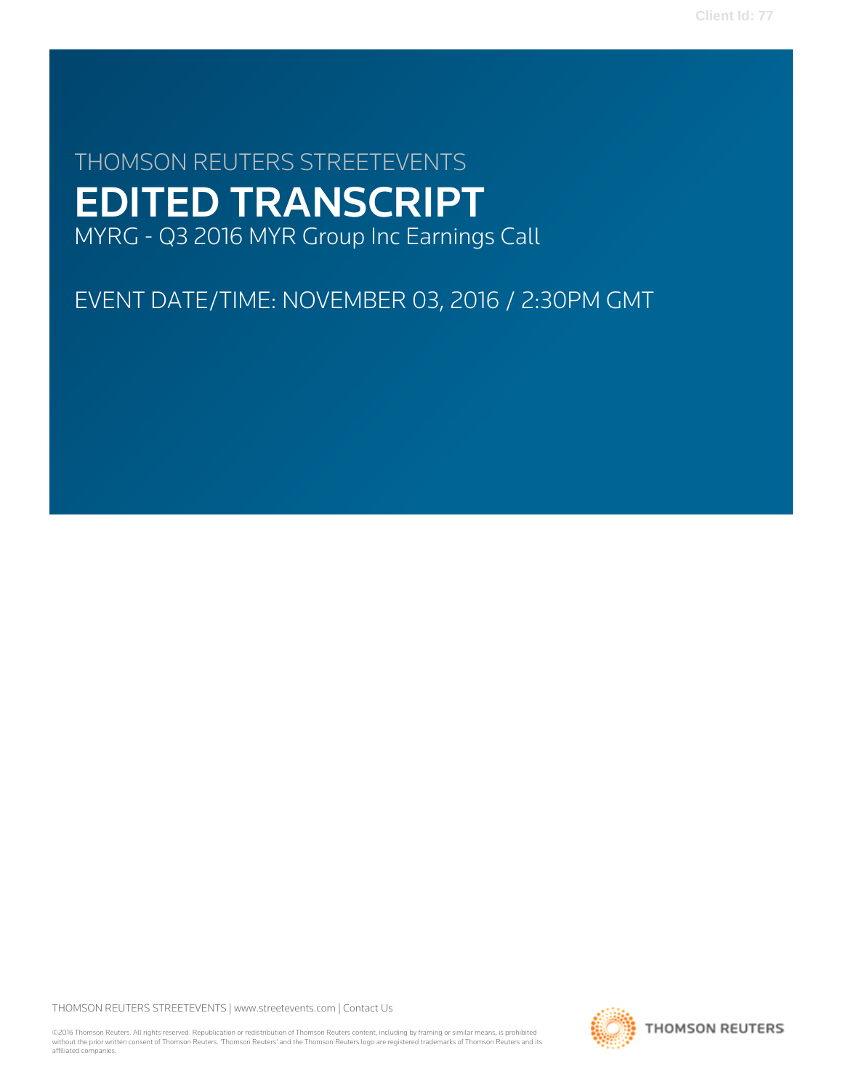# THOMSON REUTERS STREETEVENTS EDITED TRANSCRIPT MYRG - Q3 2016 MYR Group Inc Earnings Call

EVENT DATE/TIME: NOVEMBER 03, 2016 / 2:30PM GMT

THOMSON REUTERS STREETEVENTS | [www.streetevents.com](http://www.streetevents.com) | [Contact Us](http://www010.streetevents.com/contact.asp)

©2016 Thomson Reuters. All rights reserved. Republication or redistribution of Thomson Reuters content, including by framing or similar means, is prohibited without the prior written consent of Thomson Reuters. 'Thomson Reuters' and the Thomson Reuters logo are registered trademarks of Thomson Reuters and its affiliated companies.

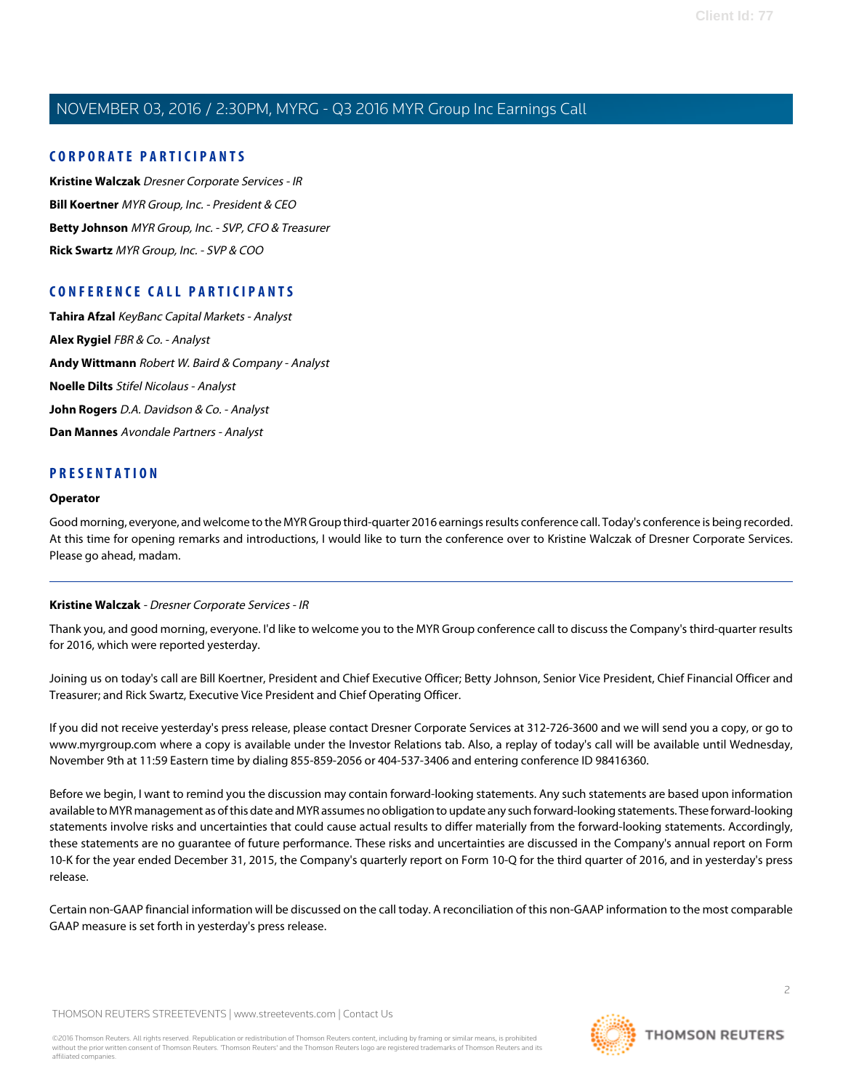# **CORPORATE PARTICIPANTS**

**[Kristine Walczak](#page-1-0)** Dresner Corporate Services - IR **[Bill Koertner](#page-2-0)** MYR Group, Inc. - President & CEO **[Betty Johnson](#page-2-1)** MYR Group, Inc. - SVP, CFO & Treasurer **[Rick Swartz](#page-4-0)** MYR Group, Inc. - SVP & COO

# **CONFERENCE CALL PARTICIPANTS**

**[Tahira Afzal](#page-7-0)** KeyBanc Capital Markets - Analyst **[Alex Rygiel](#page-10-0)** FBR & Co. - Analyst **[Andy Wittmann](#page-11-0)** Robert W. Baird & Company - Analyst **[Noelle Dilts](#page-12-0)** Stifel Nicolaus - Analyst **[John Rogers](#page-14-0)** D.A. Davidson & Co. - Analyst **[Dan Mannes](#page-15-0)** Avondale Partners - Analyst

# **PRESENTATION**

# **Operator**

<span id="page-1-0"></span>Good morning, everyone, and welcome to the MYR Group third-quarter 2016 earnings results conference call. Today's conference is being recorded. At this time for opening remarks and introductions, I would like to turn the conference over to Kristine Walczak of Dresner Corporate Services. Please go ahead, madam.

# **Kristine Walczak** - Dresner Corporate Services - IR

Thank you, and good morning, everyone. I'd like to welcome you to the MYR Group conference call to discuss the Company's third-quarter results for 2016, which were reported yesterday.

Joining us on today's call are Bill Koertner, President and Chief Executive Officer; Betty Johnson, Senior Vice President, Chief Financial Officer and Treasurer; and Rick Swartz, Executive Vice President and Chief Operating Officer.

If you did not receive yesterday's press release, please contact Dresner Corporate Services at 312-726-3600 and we will send you a copy, or go to www.myrgroup.com where a copy is available under the Investor Relations tab. Also, a replay of today's call will be available until Wednesday, November 9th at 11:59 Eastern time by dialing 855-859-2056 or 404-537-3406 and entering conference ID 98416360.

Before we begin, I want to remind you the discussion may contain forward-looking statements. Any such statements are based upon information available to MYR management as of this date and MYR assumes no obligation to update any such forward-looking statements. These forward-looking statements involve risks and uncertainties that could cause actual results to differ materially from the forward-looking statements. Accordingly, these statements are no guarantee of future performance. These risks and uncertainties are discussed in the Company's annual report on Form 10-K for the year ended December 31, 2015, the Company's quarterly report on Form 10-Q for the third quarter of 2016, and in yesterday's press release.

Certain non-GAAP financial information will be discussed on the call today. A reconciliation of this non-GAAP information to the most comparable GAAP measure is set forth in yesterday's press release.

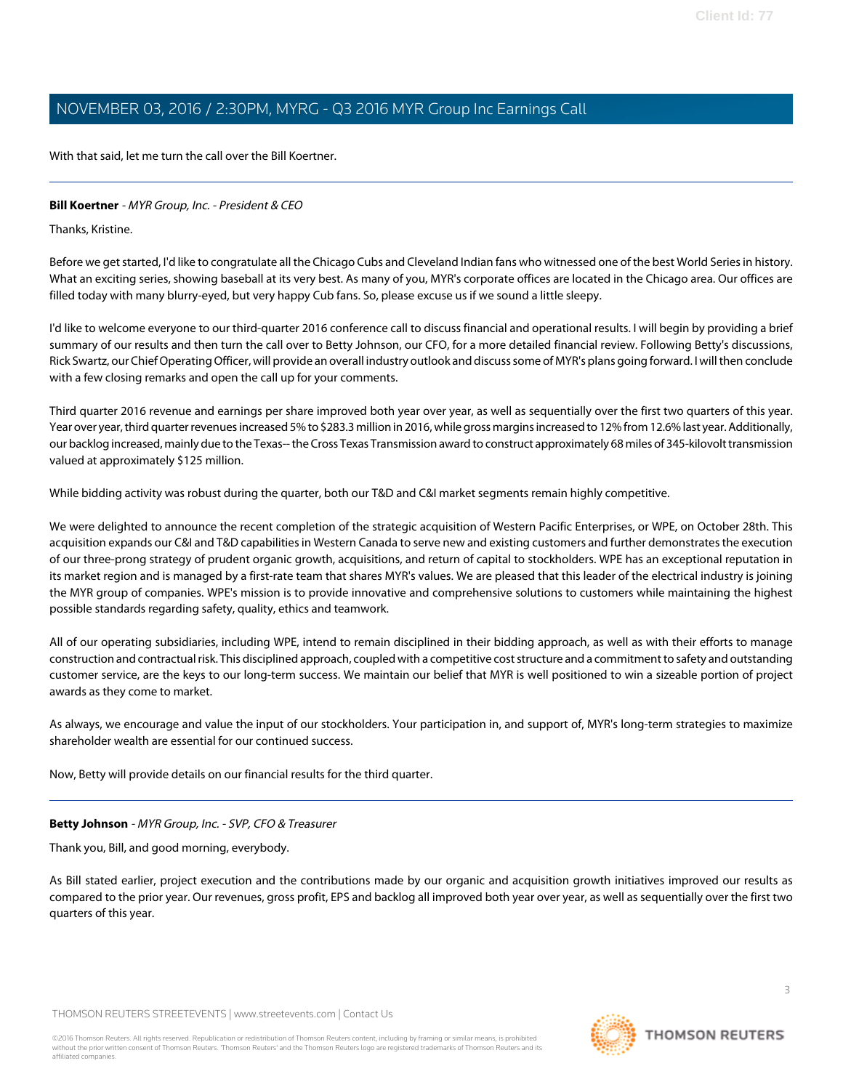With that said, let me turn the call over the Bill Koertner.

# <span id="page-2-0"></span>**Bill Koertner** - MYR Group, Inc. - President & CEO

Thanks, Kristine.

Before we get started, I'd like to congratulate all the Chicago Cubs and Cleveland Indian fans who witnessed one of the best World Series in history. What an exciting series, showing baseball at its very best. As many of you, MYR's corporate offices are located in the Chicago area. Our offices are filled today with many blurry-eyed, but very happy Cub fans. So, please excuse us if we sound a little sleepy.

I'd like to welcome everyone to our third-quarter 2016 conference call to discuss financial and operational results. I will begin by providing a brief summary of our results and then turn the call over to Betty Johnson, our CFO, for a more detailed financial review. Following Betty's discussions, Rick Swartz, our Chief Operating Officer, will provide an overall industry outlook and discuss some of MYR's plans going forward. I will then conclude with a few closing remarks and open the call up for your comments.

Third quarter 2016 revenue and earnings per share improved both year over year, as well as sequentially over the first two quarters of this year. Year over year, third quarter revenues increased 5% to \$283.3 million in 2016, while gross margins increased to 12% from 12.6% last year. Additionally, our backlog increased, mainly due to the Texas-- the Cross Texas Transmission award to construct approximately 68 miles of 345-kilovolt transmission valued at approximately \$125 million.

While bidding activity was robust during the quarter, both our T&D and C&I market segments remain highly competitive.

We were delighted to announce the recent completion of the strategic acquisition of Western Pacific Enterprises, or WPE, on October 28th. This acquisition expands our C&I and T&D capabilities in Western Canada to serve new and existing customers and further demonstrates the execution of our three-prong strategy of prudent organic growth, acquisitions, and return of capital to stockholders. WPE has an exceptional reputation in its market region and is managed by a first-rate team that shares MYR's values. We are pleased that this leader of the electrical industry is joining the MYR group of companies. WPE's mission is to provide innovative and comprehensive solutions to customers while maintaining the highest possible standards regarding safety, quality, ethics and teamwork.

All of our operating subsidiaries, including WPE, intend to remain disciplined in their bidding approach, as well as with their efforts to manage construction and contractual risk. This disciplined approach, coupled with a competitive cost structure and a commitment to safety and outstanding customer service, are the keys to our long-term success. We maintain our belief that MYR is well positioned to win a sizeable portion of project awards as they come to market.

<span id="page-2-1"></span>As always, we encourage and value the input of our stockholders. Your participation in, and support of, MYR's long-term strategies to maximize shareholder wealth are essential for our continued success.

Now, Betty will provide details on our financial results for the third quarter.

# **Betty Johnson** - MYR Group, Inc. - SVP, CFO & Treasurer

Thank you, Bill, and good morning, everybody.

As Bill stated earlier, project execution and the contributions made by our organic and acquisition growth initiatives improved our results as compared to the prior year. Our revenues, gross profit, EPS and backlog all improved both year over year, as well as sequentially over the first two quarters of this year.

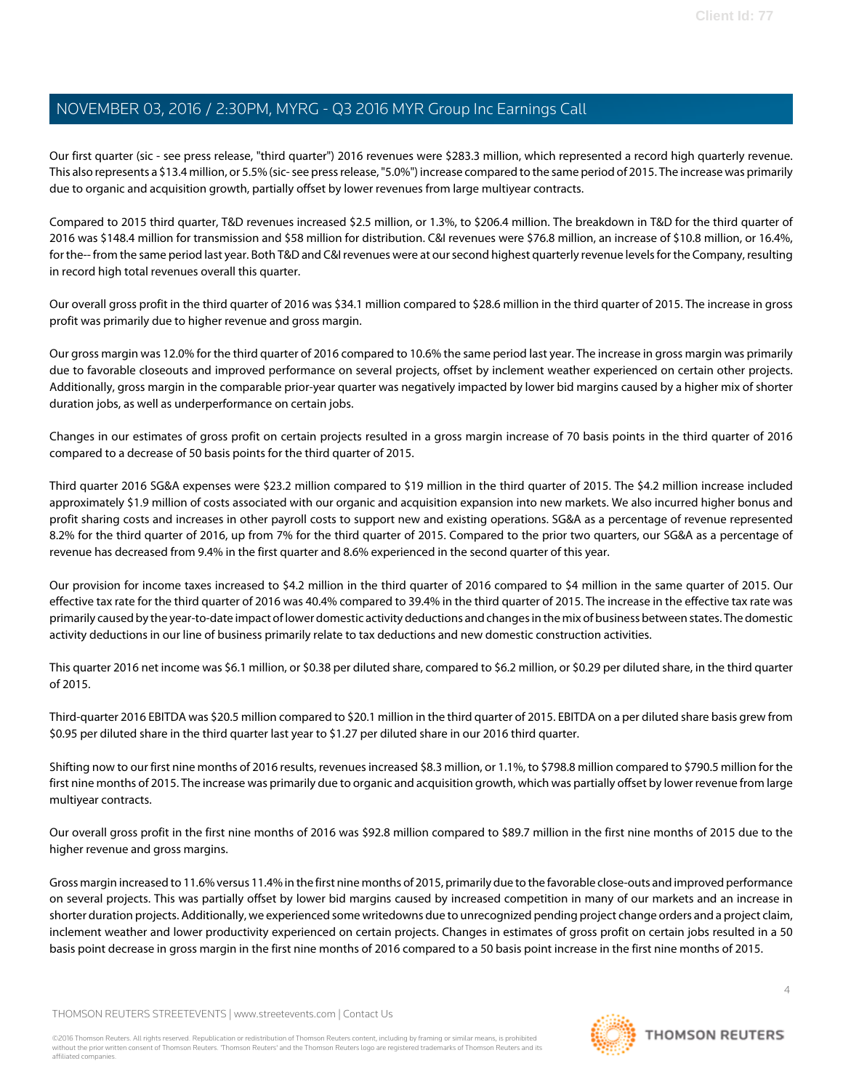Our first quarter (sic - see press release, "third quarter") 2016 revenues were \$283.3 million, which represented a record high quarterly revenue. This also represents a \$13.4 million, or 5.5% (sic- see press release, "5.0%") increase compared to the same period of 2015. The increase was primarily due to organic and acquisition growth, partially offset by lower revenues from large multiyear contracts.

Compared to 2015 third quarter, T&D revenues increased \$2.5 million, or 1.3%, to \$206.4 million. The breakdown in T&D for the third quarter of 2016 was \$148.4 million for transmission and \$58 million for distribution. C&I revenues were \$76.8 million, an increase of \$10.8 million, or 16.4%, for the-- from the same period last year. Both T&D and C&I revenues were at our second highest quarterly revenue levels for the Company, resulting in record high total revenues overall this quarter.

Our overall gross profit in the third quarter of 2016 was \$34.1 million compared to \$28.6 million in the third quarter of 2015. The increase in gross profit was primarily due to higher revenue and gross margin.

Our gross margin was 12.0% for the third quarter of 2016 compared to 10.6% the same period last year. The increase in gross margin was primarily due to favorable closeouts and improved performance on several projects, offset by inclement weather experienced on certain other projects. Additionally, gross margin in the comparable prior-year quarter was negatively impacted by lower bid margins caused by a higher mix of shorter duration jobs, as well as underperformance on certain jobs.

Changes in our estimates of gross profit on certain projects resulted in a gross margin increase of 70 basis points in the third quarter of 2016 compared to a decrease of 50 basis points for the third quarter of 2015.

Third quarter 2016 SG&A expenses were \$23.2 million compared to \$19 million in the third quarter of 2015. The \$4.2 million increase included approximately \$1.9 million of costs associated with our organic and acquisition expansion into new markets. We also incurred higher bonus and profit sharing costs and increases in other payroll costs to support new and existing operations. SG&A as a percentage of revenue represented 8.2% for the third quarter of 2016, up from 7% for the third quarter of 2015. Compared to the prior two quarters, our SG&A as a percentage of revenue has decreased from 9.4% in the first quarter and 8.6% experienced in the second quarter of this year.

Our provision for income taxes increased to \$4.2 million in the third quarter of 2016 compared to \$4 million in the same quarter of 2015. Our effective tax rate for the third quarter of 2016 was 40.4% compared to 39.4% in the third quarter of 2015. The increase in the effective tax rate was primarily caused by the year-to-date impact of lower domestic activity deductions and changes in the mix of business between states. The domestic activity deductions in our line of business primarily relate to tax deductions and new domestic construction activities.

This quarter 2016 net income was \$6.1 million, or \$0.38 per diluted share, compared to \$6.2 million, or \$0.29 per diluted share, in the third quarter of 2015.

Third-quarter 2016 EBITDA was \$20.5 million compared to \$20.1 million in the third quarter of 2015. EBITDA on a per diluted share basis grew from \$0.95 per diluted share in the third quarter last year to \$1.27 per diluted share in our 2016 third quarter.

Shifting now to our first nine months of 2016 results, revenues increased \$8.3 million, or 1.1%, to \$798.8 million compared to \$790.5 million for the first nine months of 2015. The increase was primarily due to organic and acquisition growth, which was partially offset by lower revenue from large multiyear contracts.

Our overall gross profit in the first nine months of 2016 was \$92.8 million compared to \$89.7 million in the first nine months of 2015 due to the higher revenue and gross margins.

Gross margin increased to 11.6% versus 11.4% in the first nine months of 2015, primarily due to the favorable close-outs and improved performance on several projects. This was partially offset by lower bid margins caused by increased competition in many of our markets and an increase in shorter duration projects. Additionally, we experienced some writedowns due to unrecognized pending project change orders and a project claim, inclement weather and lower productivity experienced on certain projects. Changes in estimates of gross profit on certain jobs resulted in a 50 basis point decrease in gross margin in the first nine months of 2016 compared to a 50 basis point increase in the first nine months of 2015.

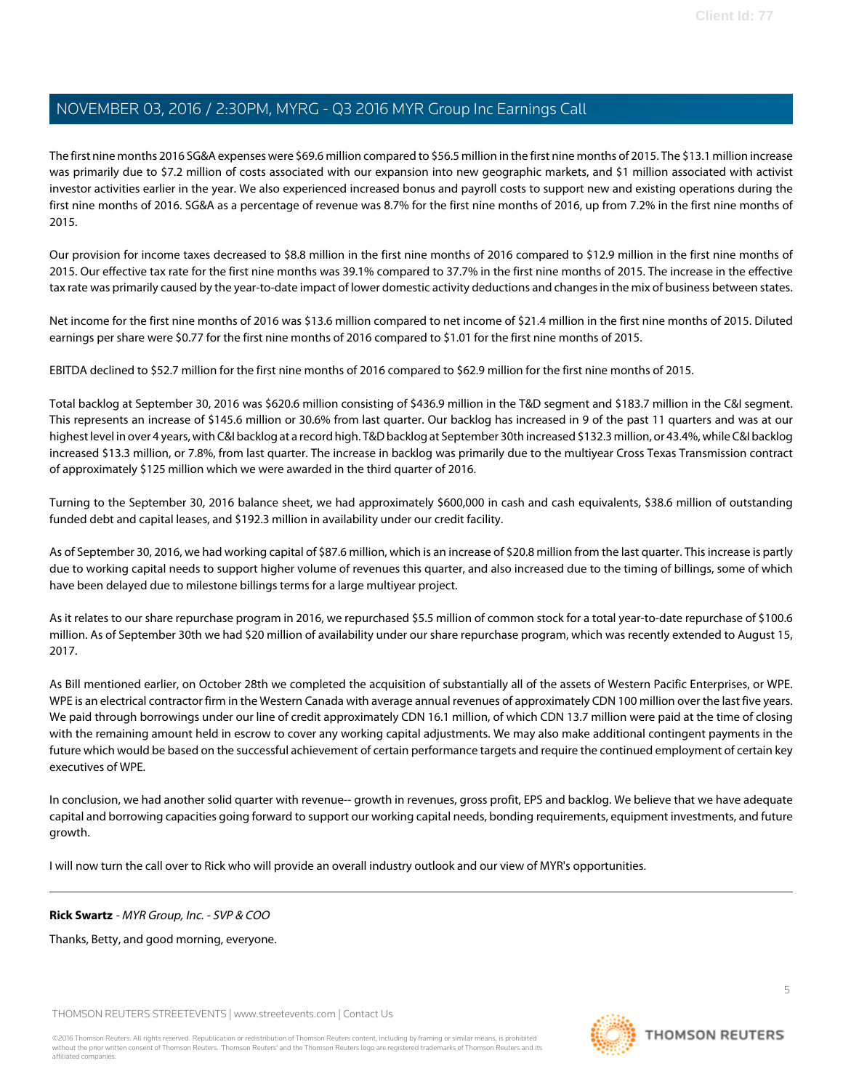The first nine months 2016 SG&A expenses were \$69.6 million compared to \$56.5 million in the first nine months of 2015. The \$13.1 million increase was primarily due to \$7.2 million of costs associated with our expansion into new geographic markets, and \$1 million associated with activist investor activities earlier in the year. We also experienced increased bonus and payroll costs to support new and existing operations during the first nine months of 2016. SG&A as a percentage of revenue was 8.7% for the first nine months of 2016, up from 7.2% in the first nine months of 2015.

Our provision for income taxes decreased to \$8.8 million in the first nine months of 2016 compared to \$12.9 million in the first nine months of 2015. Our effective tax rate for the first nine months was 39.1% compared to 37.7% in the first nine months of 2015. The increase in the effective tax rate was primarily caused by the year-to-date impact of lower domestic activity deductions and changes in the mix of business between states.

Net income for the first nine months of 2016 was \$13.6 million compared to net income of \$21.4 million in the first nine months of 2015. Diluted earnings per share were \$0.77 for the first nine months of 2016 compared to \$1.01 for the first nine months of 2015.

EBITDA declined to \$52.7 million for the first nine months of 2016 compared to \$62.9 million for the first nine months of 2015.

Total backlog at September 30, 2016 was \$620.6 million consisting of \$436.9 million in the T&D segment and \$183.7 million in the C&I segment. This represents an increase of \$145.6 million or 30.6% from last quarter. Our backlog has increased in 9 of the past 11 quarters and was at our highest level in over 4 years, with C&I backlog at a record high. T&D backlog at September 30th increased \$132.3 million, or 43.4%, while C&I backlog increased \$13.3 million, or 7.8%, from last quarter. The increase in backlog was primarily due to the multiyear Cross Texas Transmission contract of approximately \$125 million which we were awarded in the third quarter of 2016.

Turning to the September 30, 2016 balance sheet, we had approximately \$600,000 in cash and cash equivalents, \$38.6 million of outstanding funded debt and capital leases, and \$192.3 million in availability under our credit facility.

As of September 30, 2016, we had working capital of \$87.6 million, which is an increase of \$20.8 million from the last quarter. This increase is partly due to working capital needs to support higher volume of revenues this quarter, and also increased due to the timing of billings, some of which have been delayed due to milestone billings terms for a large multiyear project.

As it relates to our share repurchase program in 2016, we repurchased \$5.5 million of common stock for a total year-to-date repurchase of \$100.6 million. As of September 30th we had \$20 million of availability under our share repurchase program, which was recently extended to August 15, 2017.

As Bill mentioned earlier, on October 28th we completed the acquisition of substantially all of the assets of Western Pacific Enterprises, or WPE. WPE is an electrical contractor firm in the Western Canada with average annual revenues of approximately CDN 100 million over the last five years. We paid through borrowings under our line of credit approximately CDN 16.1 million, of which CDN 13.7 million were paid at the time of closing with the remaining amount held in escrow to cover any working capital adjustments. We may also make additional contingent payments in the future which would be based on the successful achievement of certain performance targets and require the continued employment of certain key executives of WPE.

<span id="page-4-0"></span>In conclusion, we had another solid quarter with revenue-- growth in revenues, gross profit, EPS and backlog. We believe that we have adequate capital and borrowing capacities going forward to support our working capital needs, bonding requirements, equipment investments, and future growth.

I will now turn the call over to Rick who will provide an overall industry outlook and our view of MYR's opportunities.

# **Rick Swartz** - MYR Group, Inc. - SVP & COO

Thanks, Betty, and good morning, everyone.

THOMSON REUTERS STREETEVENTS | [www.streetevents.com](http://www.streetevents.com) | [Contact Us](http://www010.streetevents.com/contact.asp)

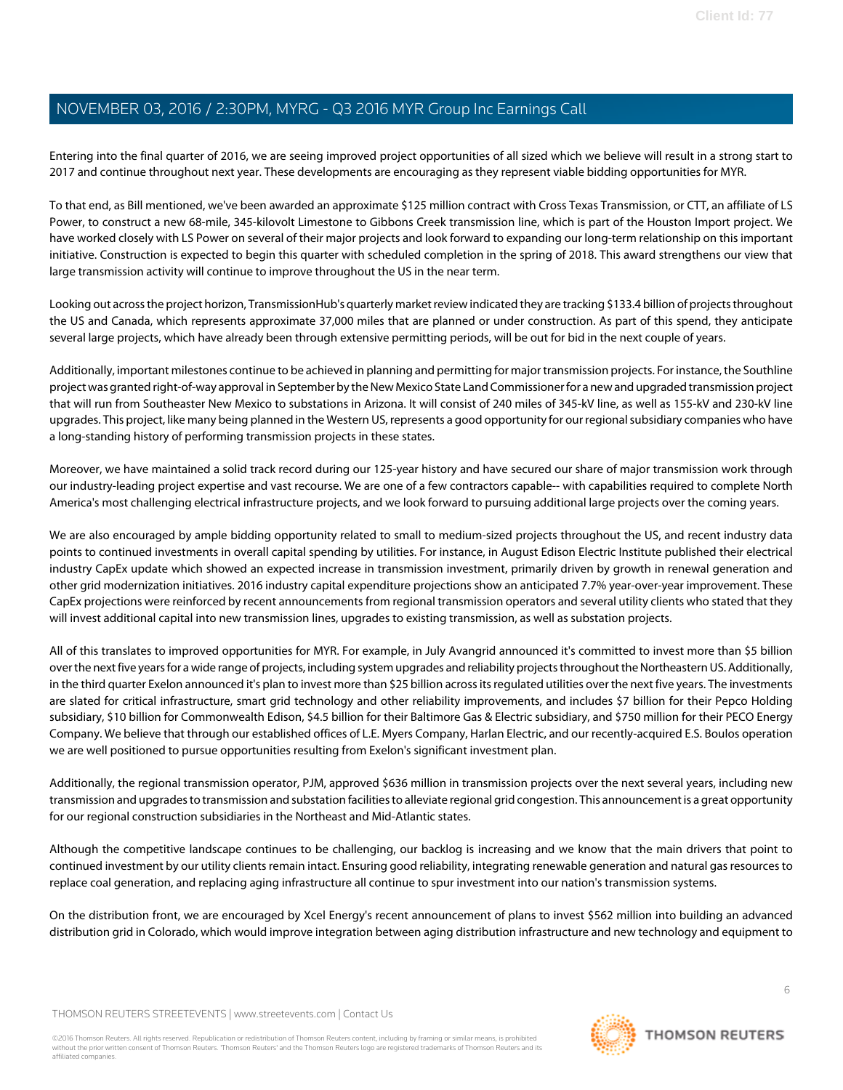Entering into the final quarter of 2016, we are seeing improved project opportunities of all sized which we believe will result in a strong start to 2017 and continue throughout next year. These developments are encouraging as they represent viable bidding opportunities for MYR.

To that end, as Bill mentioned, we've been awarded an approximate \$125 million contract with Cross Texas Transmission, or CTT, an affiliate of LS Power, to construct a new 68-mile, 345-kilovolt Limestone to Gibbons Creek transmission line, which is part of the Houston Import project. We have worked closely with LS Power on several of their major projects and look forward to expanding our long-term relationship on this important initiative. Construction is expected to begin this quarter with scheduled completion in the spring of 2018. This award strengthens our view that large transmission activity will continue to improve throughout the US in the near term.

Looking out across the project horizon, TransmissionHub's quarterly market review indicated they are tracking \$133.4 billion of projects throughout the US and Canada, which represents approximate 37,000 miles that are planned or under construction. As part of this spend, they anticipate several large projects, which have already been through extensive permitting periods, will be out for bid in the next couple of years.

Additionally, important milestones continue to be achieved in planning and permitting for major transmission projects. For instance, the Southline project was granted right-of-way approval in September by the New Mexico State Land Commissioner for a new and upgraded transmission project that will run from Southeaster New Mexico to substations in Arizona. It will consist of 240 miles of 345-kV line, as well as 155-kV and 230-kV line upgrades. This project, like many being planned in the Western US, represents a good opportunity for our regional subsidiary companies who have a long-standing history of performing transmission projects in these states.

Moreover, we have maintained a solid track record during our 125-year history and have secured our share of major transmission work through our industry-leading project expertise and vast recourse. We are one of a few contractors capable-- with capabilities required to complete North America's most challenging electrical infrastructure projects, and we look forward to pursuing additional large projects over the coming years.

We are also encouraged by ample bidding opportunity related to small to medium-sized projects throughout the US, and recent industry data points to continued investments in overall capital spending by utilities. For instance, in August Edison Electric Institute published their electrical industry CapEx update which showed an expected increase in transmission investment, primarily driven by growth in renewal generation and other grid modernization initiatives. 2016 industry capital expenditure projections show an anticipated 7.7% year-over-year improvement. These CapEx projections were reinforced by recent announcements from regional transmission operators and several utility clients who stated that they will invest additional capital into new transmission lines, upgrades to existing transmission, as well as substation projects.

All of this translates to improved opportunities for MYR. For example, in July Avangrid announced it's committed to invest more than \$5 billion over the next five years for a wide range of projects, including system upgrades and reliability projects throughout the Northeastern US. Additionally, in the third quarter Exelon announced it's plan to invest more than \$25 billion across its regulated utilities over the next five years. The investments are slated for critical infrastructure, smart grid technology and other reliability improvements, and includes \$7 billion for their Pepco Holding subsidiary, \$10 billion for Commonwealth Edison, \$4.5 billion for their Baltimore Gas & Electric subsidiary, and \$750 million for their PECO Energy Company. We believe that through our established offices of L.E. Myers Company, Harlan Electric, and our recently-acquired E.S. Boulos operation we are well positioned to pursue opportunities resulting from Exelon's significant investment plan.

Additionally, the regional transmission operator, PJM, approved \$636 million in transmission projects over the next several years, including new transmission and upgrades to transmission and substation facilities to alleviate regional grid congestion. This announcement is a great opportunity for our regional construction subsidiaries in the Northeast and Mid-Atlantic states.

Although the competitive landscape continues to be challenging, our backlog is increasing and we know that the main drivers that point to continued investment by our utility clients remain intact. Ensuring good reliability, integrating renewable generation and natural gas resources to replace coal generation, and replacing aging infrastructure all continue to spur investment into our nation's transmission systems.

On the distribution front, we are encouraged by Xcel Energy's recent announcement of plans to invest \$562 million into building an advanced distribution grid in Colorado, which would improve integration between aging distribution infrastructure and new technology and equipment to

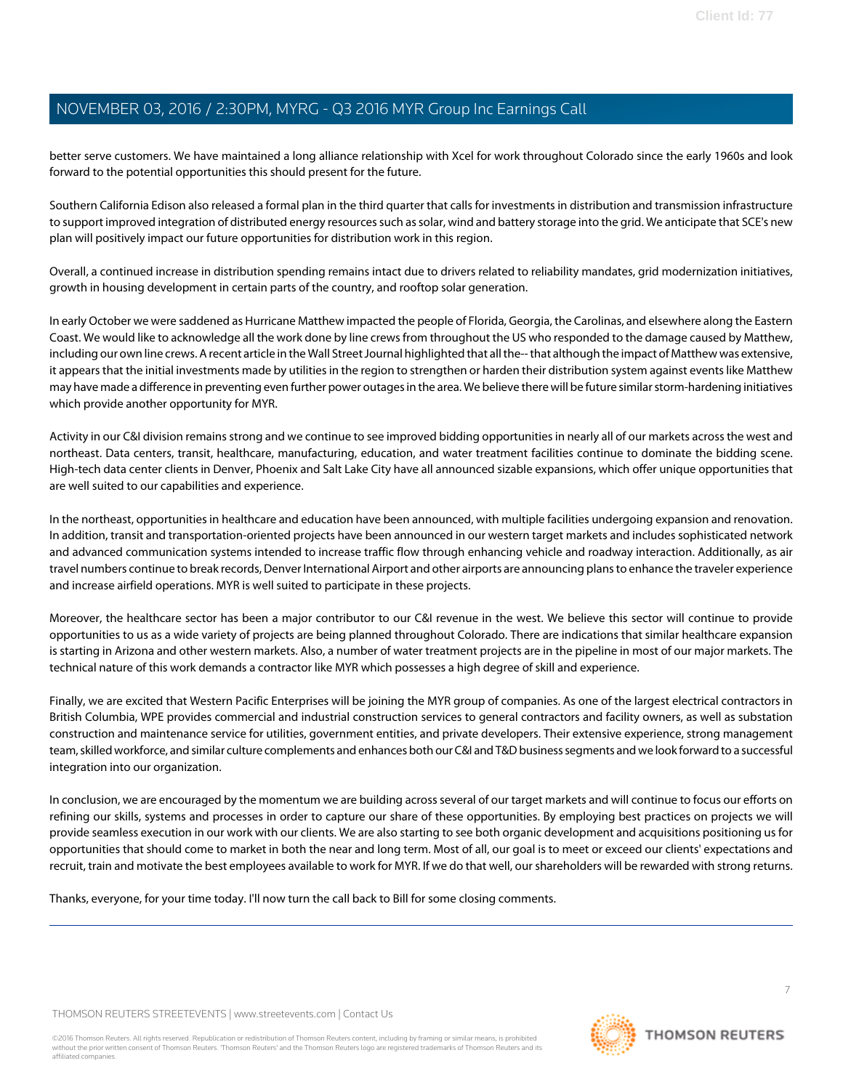better serve customers. We have maintained a long alliance relationship with Xcel for work throughout Colorado since the early 1960s and look forward to the potential opportunities this should present for the future.

Southern California Edison also released a formal plan in the third quarter that calls for investments in distribution and transmission infrastructure to support improved integration of distributed energy resources such as solar, wind and battery storage into the grid. We anticipate that SCE's new plan will positively impact our future opportunities for distribution work in this region.

Overall, a continued increase in distribution spending remains intact due to drivers related to reliability mandates, grid modernization initiatives, growth in housing development in certain parts of the country, and rooftop solar generation.

In early October we were saddened as Hurricane Matthew impacted the people of Florida, Georgia, the Carolinas, and elsewhere along the Eastern Coast. We would like to acknowledge all the work done by line crews from throughout the US who responded to the damage caused by Matthew, including our own line crews. A recent article in the Wall Street Journal highlighted that all the-- that although the impact of Matthew was extensive, it appears that the initial investments made by utilities in the region to strengthen or harden their distribution system against events like Matthew may have made a difference in preventing even further power outages in the area. We believe there will be future similar storm-hardening initiatives which provide another opportunity for MYR.

Activity in our C&I division remains strong and we continue to see improved bidding opportunities in nearly all of our markets across the west and northeast. Data centers, transit, healthcare, manufacturing, education, and water treatment facilities continue to dominate the bidding scene. High-tech data center clients in Denver, Phoenix and Salt Lake City have all announced sizable expansions, which offer unique opportunities that are well suited to our capabilities and experience.

In the northeast, opportunities in healthcare and education have been announced, with multiple facilities undergoing expansion and renovation. In addition, transit and transportation-oriented projects have been announced in our western target markets and includes sophisticated network and advanced communication systems intended to increase traffic flow through enhancing vehicle and roadway interaction. Additionally, as air travel numbers continue to break records, Denver International Airport and other airports are announcing plans to enhance the traveler experience and increase airfield operations. MYR is well suited to participate in these projects.

Moreover, the healthcare sector has been a major contributor to our C&I revenue in the west. We believe this sector will continue to provide opportunities to us as a wide variety of projects are being planned throughout Colorado. There are indications that similar healthcare expansion is starting in Arizona and other western markets. Also, a number of water treatment projects are in the pipeline in most of our major markets. The technical nature of this work demands a contractor like MYR which possesses a high degree of skill and experience.

Finally, we are excited that Western Pacific Enterprises will be joining the MYR group of companies. As one of the largest electrical contractors in British Columbia, WPE provides commercial and industrial construction services to general contractors and facility owners, as well as substation construction and maintenance service for utilities, government entities, and private developers. Their extensive experience, strong management team, skilled workforce, and similar culture complements and enhances both our C&I and T&D business segments and we look forward to a successful integration into our organization.

In conclusion, we are encouraged by the momentum we are building across several of our target markets and will continue to focus our efforts on refining our skills, systems and processes in order to capture our share of these opportunities. By employing best practices on projects we will provide seamless execution in our work with our clients. We are also starting to see both organic development and acquisitions positioning us for opportunities that should come to market in both the near and long term. Most of all, our goal is to meet or exceed our clients' expectations and recruit, train and motivate the best employees available to work for MYR. If we do that well, our shareholders will be rewarded with strong returns.

Thanks, everyone, for your time today. I'll now turn the call back to Bill for some closing comments.

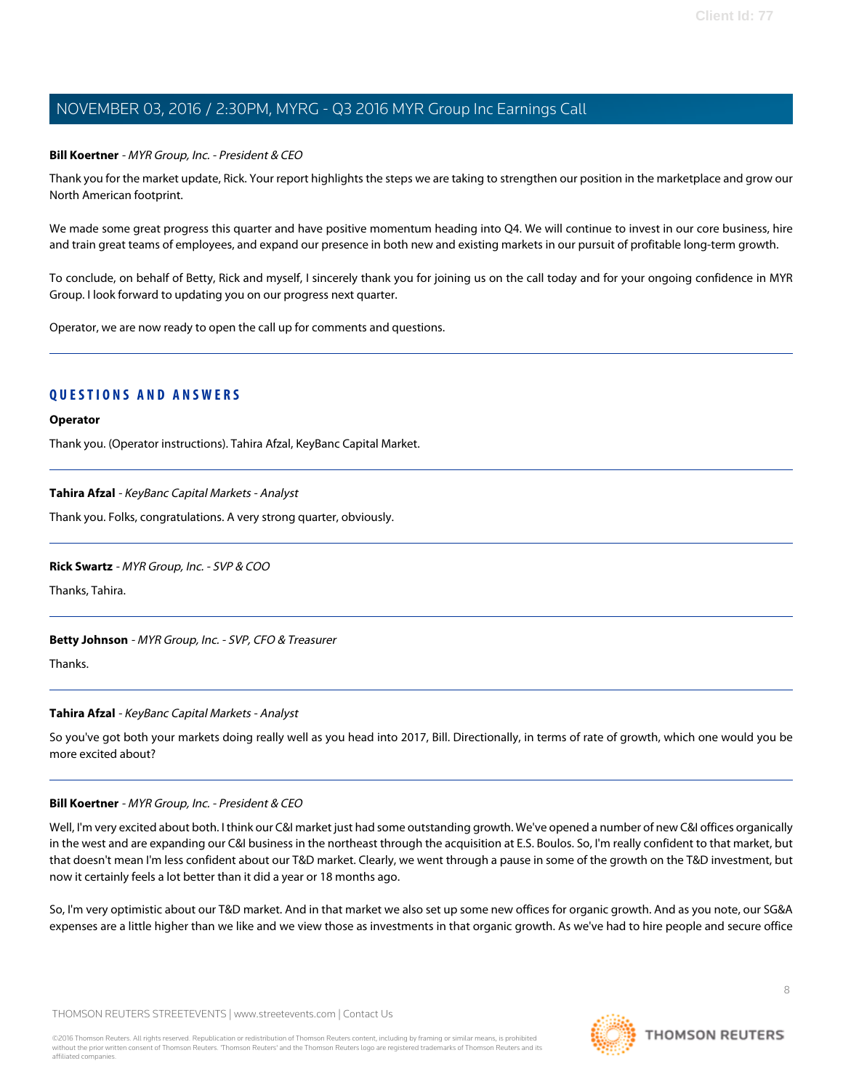# **Bill Koertner** - MYR Group, Inc. - President & CEO

Thank you for the market update, Rick. Your report highlights the steps we are taking to strengthen our position in the marketplace and grow our North American footprint.

We made some great progress this quarter and have positive momentum heading into Q4. We will continue to invest in our core business, hire and train great teams of employees, and expand our presence in both new and existing markets in our pursuit of profitable long-term growth.

To conclude, on behalf of Betty, Rick and myself, I sincerely thank you for joining us on the call today and for your ongoing confidence in MYR Group. I look forward to updating you on our progress next quarter.

Operator, we are now ready to open the call up for comments and questions.

# **QUESTIONS AND ANSWERS**

#### **Operator**

<span id="page-7-0"></span>Thank you. (Operator instructions). Tahira Afzal, KeyBanc Capital Market.

# **Tahira Afzal** - KeyBanc Capital Markets - Analyst

Thank you. Folks, congratulations. A very strong quarter, obviously.

# **Rick Swartz** - MYR Group, Inc. - SVP & COO

Thanks, Tahira.

# **Betty Johnson** - MYR Group, Inc. - SVP, CFO & Treasurer

Thanks.

# **Tahira Afzal** - KeyBanc Capital Markets - Analyst

So you've got both your markets doing really well as you head into 2017, Bill. Directionally, in terms of rate of growth, which one would you be more excited about?

# **Bill Koertner** - MYR Group, Inc. - President & CEO

Well, I'm very excited about both. I think our C&I market just had some outstanding growth. We've opened a number of new C&I offices organically in the west and are expanding our C&I business in the northeast through the acquisition at E.S. Boulos. So, I'm really confident to that market, but that doesn't mean I'm less confident about our T&D market. Clearly, we went through a pause in some of the growth on the T&D investment, but now it certainly feels a lot better than it did a year or 18 months ago.

So, I'm very optimistic about our T&D market. And in that market we also set up some new offices for organic growth. And as you note, our SG&A expenses are a little higher than we like and we view those as investments in that organic growth. As we've had to hire people and secure office

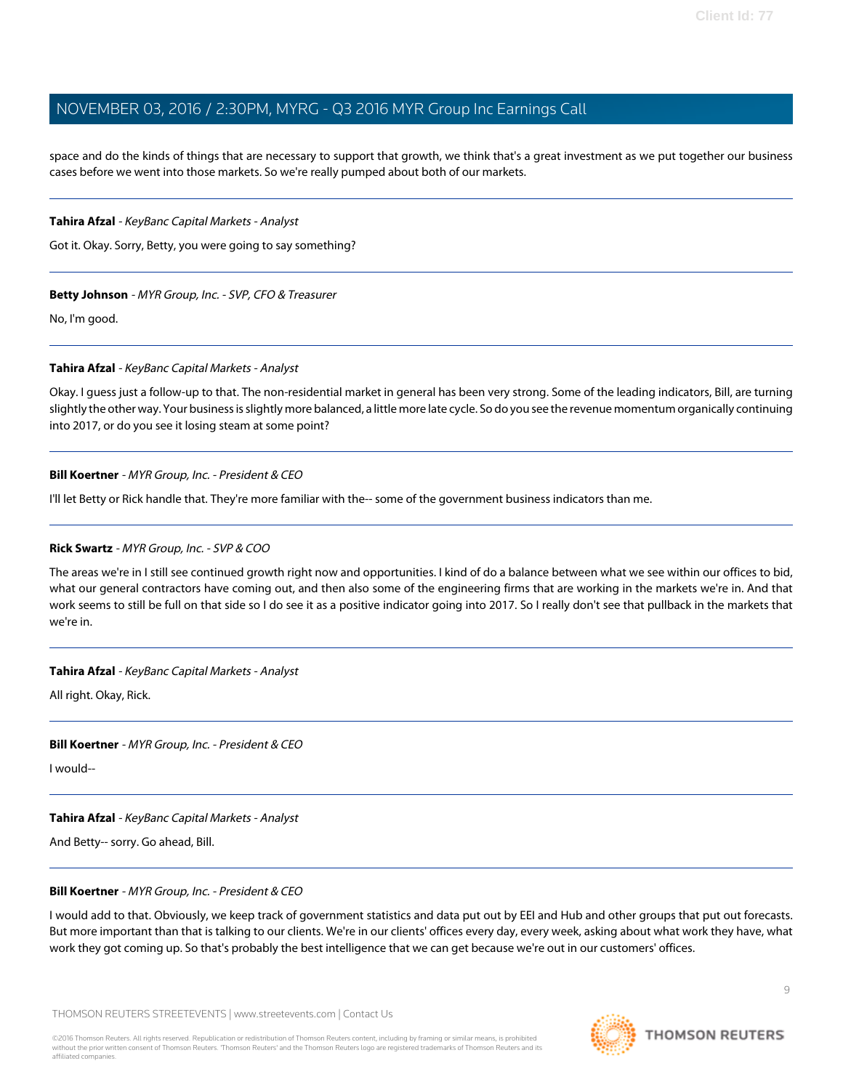space and do the kinds of things that are necessary to support that growth, we think that's a great investment as we put together our business cases before we went into those markets. So we're really pumped about both of our markets.

# **Tahira Afzal** - KeyBanc Capital Markets - Analyst

Got it. Okay. Sorry, Betty, you were going to say something?

# **Betty Johnson** - MYR Group, Inc. - SVP, CFO & Treasurer

No, I'm good.

# **Tahira Afzal** - KeyBanc Capital Markets - Analyst

Okay. I guess just a follow-up to that. The non-residential market in general has been very strong. Some of the leading indicators, Bill, are turning slightly the other way. Your business is slightly more balanced, a little more late cycle. So do you see the revenue momentum organically continuing into 2017, or do you see it losing steam at some point?

# **Bill Koertner** - MYR Group, Inc. - President & CEO

I'll let Betty or Rick handle that. They're more familiar with the-- some of the government business indicators than me.

# **Rick Swartz** - MYR Group, Inc. - SVP & COO

The areas we're in I still see continued growth right now and opportunities. I kind of do a balance between what we see within our offices to bid, what our general contractors have coming out, and then also some of the engineering firms that are working in the markets we're in. And that work seems to still be full on that side so I do see it as a positive indicator going into 2017. So I really don't see that pullback in the markets that we're in.

# **Tahira Afzal** - KeyBanc Capital Markets - Analyst

All right. Okay, Rick.

# **Bill Koertner** - MYR Group, Inc. - President & CEO

I would--

# **Tahira Afzal** - KeyBanc Capital Markets - Analyst

And Betty-- sorry. Go ahead, Bill.

# **Bill Koertner** - MYR Group, Inc. - President & CEO

I would add to that. Obviously, we keep track of government statistics and data put out by EEI and Hub and other groups that put out forecasts. But more important than that is talking to our clients. We're in our clients' offices every day, every week, asking about what work they have, what work they got coming up. So that's probably the best intelligence that we can get because we're out in our customers' offices.

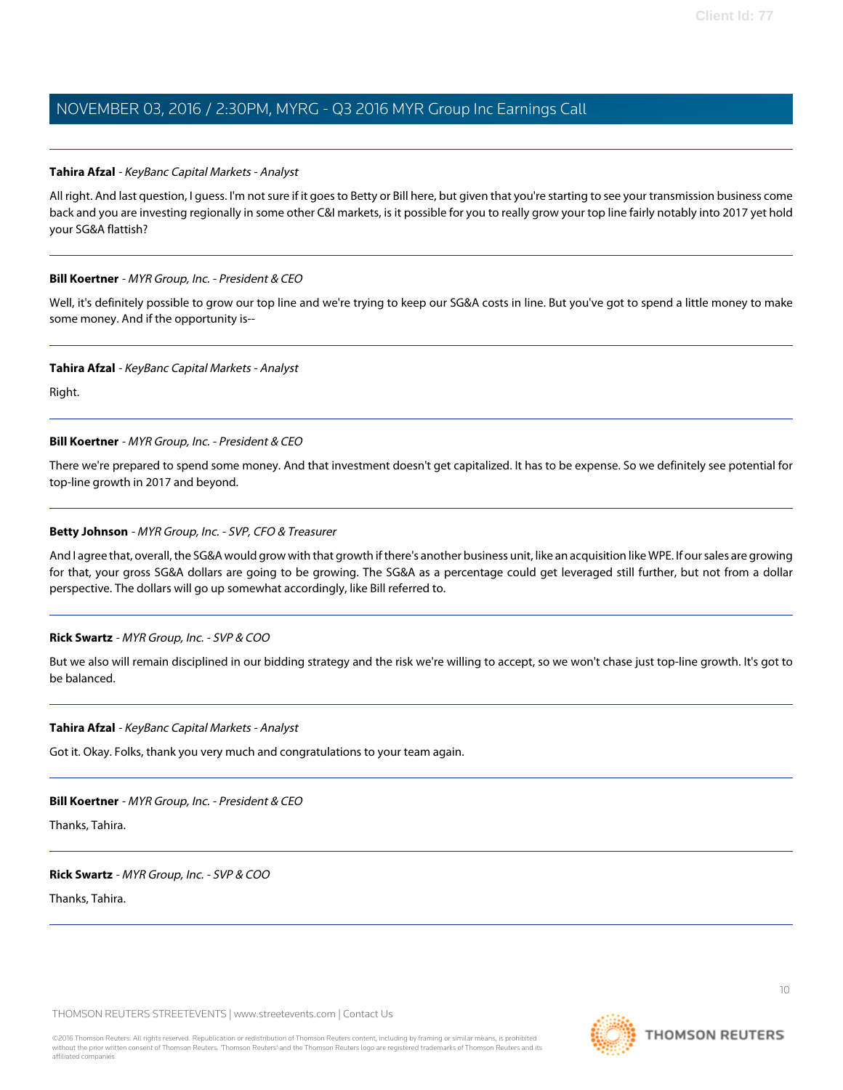# **Tahira Afzal** - KeyBanc Capital Markets - Analyst

All right. And last question, I guess. I'm not sure if it goes to Betty or Bill here, but given that you're starting to see your transmission business come back and you are investing regionally in some other C&I markets, is it possible for you to really grow your top line fairly notably into 2017 yet hold your SG&A flattish?

# **Bill Koertner** - MYR Group, Inc. - President & CEO

Well, it's definitely possible to grow our top line and we're trying to keep our SG&A costs in line. But you've got to spend a little money to make some money. And if the opportunity is--

#### **Tahira Afzal** - KeyBanc Capital Markets - Analyst

Right.

# **Bill Koertner** - MYR Group, Inc. - President & CEO

There we're prepared to spend some money. And that investment doesn't get capitalized. It has to be expense. So we definitely see potential for top-line growth in 2017 and beyond.

# **Betty Johnson** - MYR Group, Inc. - SVP, CFO & Treasurer

And I agree that, overall, the SG&A would grow with that growth if there's another business unit, like an acquisition like WPE. If our sales are growing for that, your gross SG&A dollars are going to be growing. The SG&A as a percentage could get leveraged still further, but not from a dollar perspective. The dollars will go up somewhat accordingly, like Bill referred to.

# **Rick Swartz** - MYR Group, Inc. - SVP & COO

But we also will remain disciplined in our bidding strategy and the risk we're willing to accept, so we won't chase just top-line growth. It's got to be balanced.

#### **Tahira Afzal** - KeyBanc Capital Markets - Analyst

Got it. Okay. Folks, thank you very much and congratulations to your team again.

#### **Bill Koertner** - MYR Group, Inc. - President & CEO

Thanks, Tahira.

#### **Rick Swartz** - MYR Group, Inc. - SVP & COO

Thanks, Tahira.

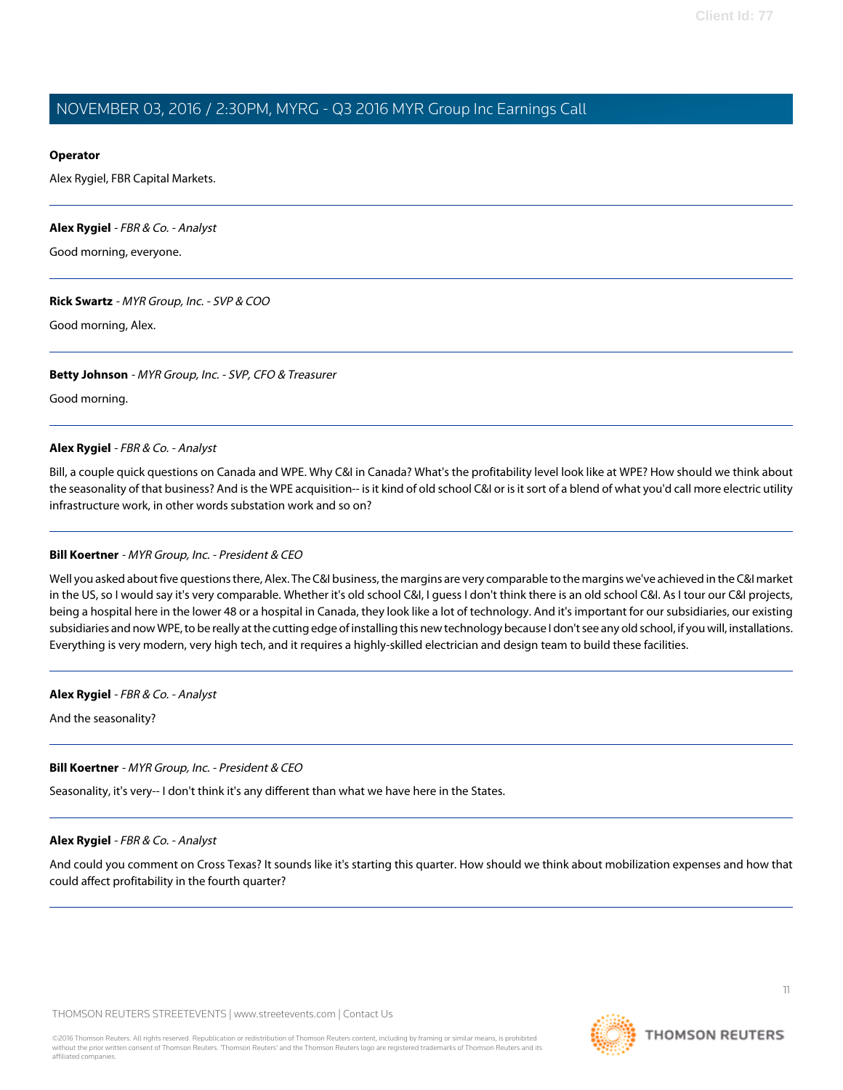# **Operator**

Alex Rygiel, FBR Capital Markets.

#### <span id="page-10-0"></span>**Alex Rygiel** - FBR & Co. - Analyst

Good morning, everyone.

#### **Rick Swartz** - MYR Group, Inc. - SVP & COO

Good morning, Alex.

#### **Betty Johnson** - MYR Group, Inc. - SVP, CFO & Treasurer

Good morning.

#### **Alex Rygiel** - FBR & Co. - Analyst

Bill, a couple quick questions on Canada and WPE. Why C&I in Canada? What's the profitability level look like at WPE? How should we think about the seasonality of that business? And is the WPE acquisition-- is it kind of old school C&I or is it sort of a blend of what you'd call more electric utility infrastructure work, in other words substation work and so on?

# **Bill Koertner** - MYR Group, Inc. - President & CEO

Well you asked about five questions there, Alex. The C&I business, the margins are very comparable to the margins we've achieved in the C&I market in the US, so I would say it's very comparable. Whether it's old school C&I, I guess I don't think there is an old school C&I. As I tour our C&I projects, being a hospital here in the lower 48 or a hospital in Canada, they look like a lot of technology. And it's important for our subsidiaries, our existing subsidiaries and now WPE, to be really at the cutting edge of installing this new technology because I don't see any old school, if you will, installations. Everything is very modern, very high tech, and it requires a highly-skilled electrician and design team to build these facilities.

#### **Alex Rygiel** - FBR & Co. - Analyst

And the seasonality?

# **Bill Koertner** - MYR Group, Inc. - President & CEO

Seasonality, it's very-- I don't think it's any different than what we have here in the States.

# **Alex Rygiel** - FBR & Co. - Analyst

And could you comment on Cross Texas? It sounds like it's starting this quarter. How should we think about mobilization expenses and how that could affect profitability in the fourth quarter?

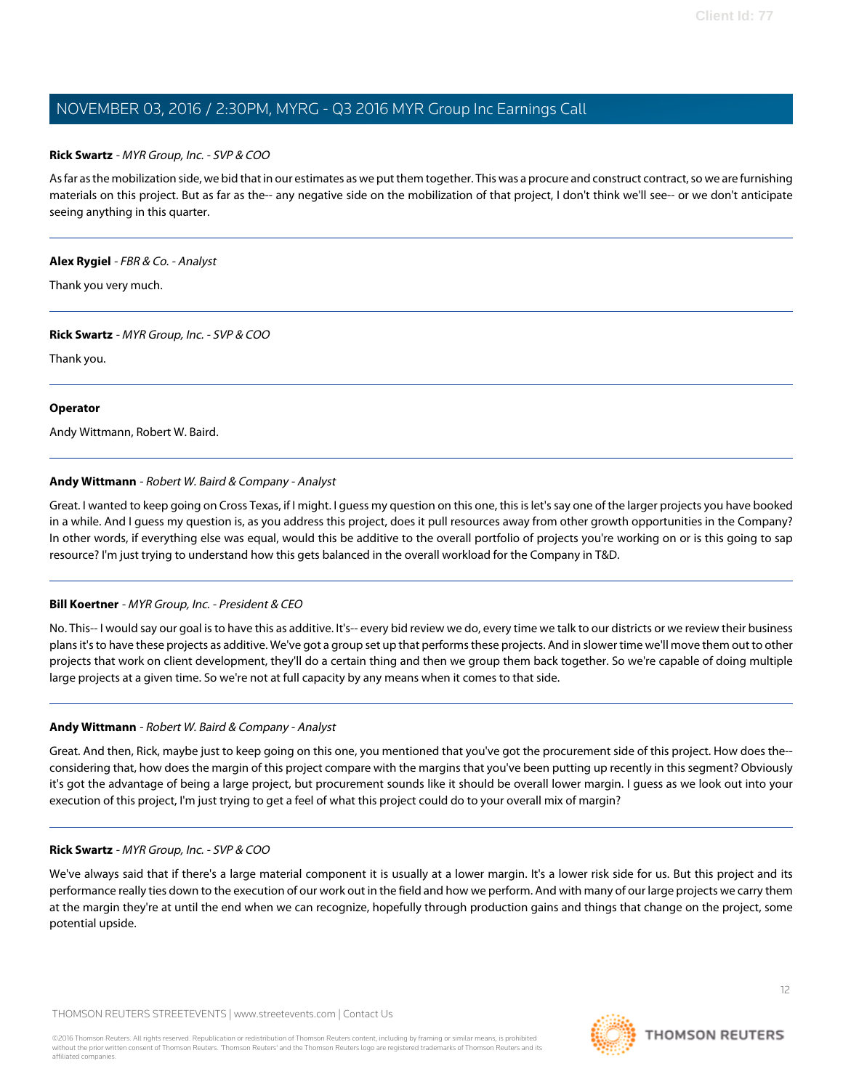# **Rick Swartz** - MYR Group, Inc. - SVP & COO

As far as the mobilization side, we bid that in our estimates as we put them together. This was a procure and construct contract, so we are furnishing materials on this project. But as far as the-- any negative side on the mobilization of that project, I don't think we'll see-- or we don't anticipate seeing anything in this quarter.

#### **Alex Rygiel** - FBR & Co. - Analyst

Thank you very much.

#### **Rick Swartz** - MYR Group, Inc. - SVP & COO

Thank you.

#### **Operator**

<span id="page-11-0"></span>Andy Wittmann, Robert W. Baird.

# **Andy Wittmann** - Robert W. Baird & Company - Analyst

Great. I wanted to keep going on Cross Texas, if I might. I guess my question on this one, this is let's say one of the larger projects you have booked in a while. And I guess my question is, as you address this project, does it pull resources away from other growth opportunities in the Company? In other words, if everything else was equal, would this be additive to the overall portfolio of projects you're working on or is this going to sap resource? I'm just trying to understand how this gets balanced in the overall workload for the Company in T&D.

# **Bill Koertner** - MYR Group, Inc. - President & CEO

No. This-- I would say our goal is to have this as additive. It's-- every bid review we do, every time we talk to our districts or we review their business plans it's to have these projects as additive. We've got a group set up that performs these projects. And in slower time we'll move them out to other projects that work on client development, they'll do a certain thing and then we group them back together. So we're capable of doing multiple large projects at a given time. So we're not at full capacity by any means when it comes to that side.

# **Andy Wittmann** - Robert W. Baird & Company - Analyst

Great. And then, Rick, maybe just to keep going on this one, you mentioned that you've got the procurement side of this project. How does the- considering that, how does the margin of this project compare with the margins that you've been putting up recently in this segment? Obviously it's got the advantage of being a large project, but procurement sounds like it should be overall lower margin. I guess as we look out into your execution of this project, I'm just trying to get a feel of what this project could do to your overall mix of margin?

# **Rick Swartz** - MYR Group, Inc. - SVP & COO

We've always said that if there's a large material component it is usually at a lower margin. It's a lower risk side for us. But this project and its performance really ties down to the execution of our work out in the field and how we perform. And with many of our large projects we carry them at the margin they're at until the end when we can recognize, hopefully through production gains and things that change on the project, some potential upside.

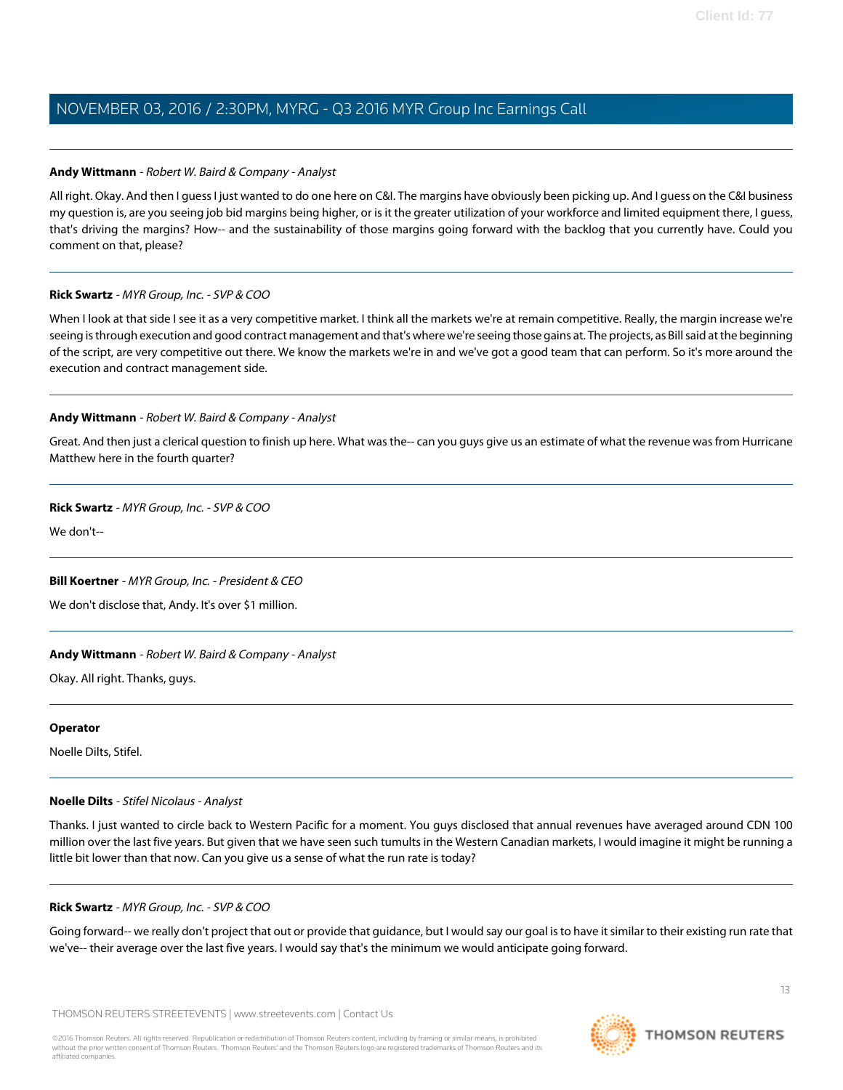# **Andy Wittmann** - Robert W. Baird & Company - Analyst

All right. Okay. And then I guess I just wanted to do one here on C&I. The margins have obviously been picking up. And I guess on the C&I business my question is, are you seeing job bid margins being higher, or is it the greater utilization of your workforce and limited equipment there, I guess, that's driving the margins? How-- and the sustainability of those margins going forward with the backlog that you currently have. Could you comment on that, please?

# **Rick Swartz** - MYR Group, Inc. - SVP & COO

When I look at that side I see it as a very competitive market. I think all the markets we're at remain competitive. Really, the margin increase we're seeing is through execution and good contract management and that's where we're seeing those gains at. The projects, as Bill said at the beginning of the script, are very competitive out there. We know the markets we're in and we've got a good team that can perform. So it's more around the execution and contract management side.

# **Andy Wittmann** - Robert W. Baird & Company - Analyst

Great. And then just a clerical question to finish up here. What was the-- can you guys give us an estimate of what the revenue was from Hurricane Matthew here in the fourth quarter?

# **Rick Swartz** - MYR Group, Inc. - SVP & COO

We don't--

# **Bill Koertner** - MYR Group, Inc. - President & CEO

We don't disclose that, Andy. It's over \$1 million.

# **Andy Wittmann** - Robert W. Baird & Company - Analyst

Okay. All right. Thanks, guys.

# <span id="page-12-0"></span>**Operator**

Noelle Dilts, Stifel.

# **Noelle Dilts** - Stifel Nicolaus - Analyst

Thanks. I just wanted to circle back to Western Pacific for a moment. You guys disclosed that annual revenues have averaged around CDN 100 million over the last five years. But given that we have seen such tumults in the Western Canadian markets, I would imagine it might be running a little bit lower than that now. Can you give us a sense of what the run rate is today?

# **Rick Swartz** - MYR Group, Inc. - SVP & COO

Going forward-- we really don't project that out or provide that guidance, but I would say our goal is to have it similar to their existing run rate that we've-- their average over the last five years. I would say that's the minimum we would anticipate going forward.

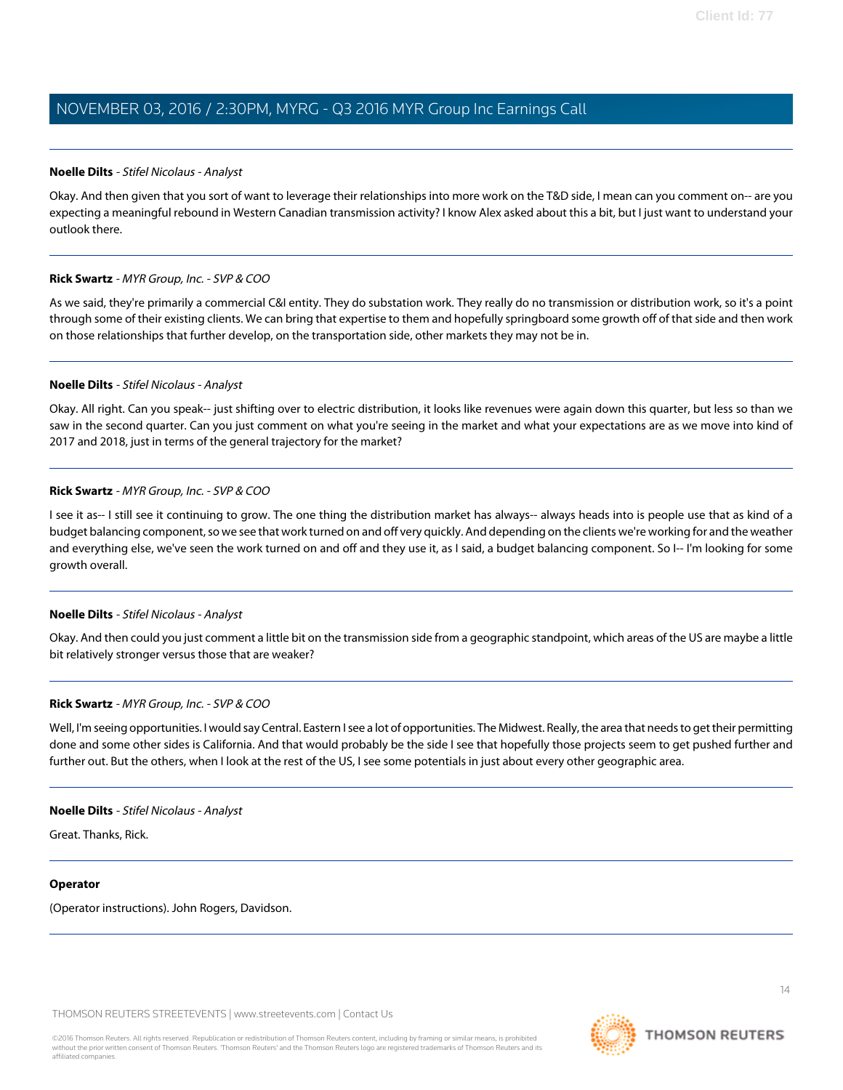### **Noelle Dilts** - Stifel Nicolaus - Analyst

Okay. And then given that you sort of want to leverage their relationships into more work on the T&D side, I mean can you comment on-- are you expecting a meaningful rebound in Western Canadian transmission activity? I know Alex asked about this a bit, but I just want to understand your outlook there.

#### **Rick Swartz** - MYR Group, Inc. - SVP & COO

As we said, they're primarily a commercial C&I entity. They do substation work. They really do no transmission or distribution work, so it's a point through some of their existing clients. We can bring that expertise to them and hopefully springboard some growth off of that side and then work on those relationships that further develop, on the transportation side, other markets they may not be in.

### **Noelle Dilts** - Stifel Nicolaus - Analyst

Okay. All right. Can you speak-- just shifting over to electric distribution, it looks like revenues were again down this quarter, but less so than we saw in the second quarter. Can you just comment on what you're seeing in the market and what your expectations are as we move into kind of 2017 and 2018, just in terms of the general trajectory for the market?

#### **Rick Swartz** - MYR Group, Inc. - SVP & COO

I see it as-- I still see it continuing to grow. The one thing the distribution market has always-- always heads into is people use that as kind of a budget balancing component, so we see that work turned on and off very quickly. And depending on the clients we're working for and the weather and everything else, we've seen the work turned on and off and they use it, as I said, a budget balancing component. So I-- I'm looking for some growth overall.

#### **Noelle Dilts** - Stifel Nicolaus - Analyst

Okay. And then could you just comment a little bit on the transmission side from a geographic standpoint, which areas of the US are maybe a little bit relatively stronger versus those that are weaker?

# **Rick Swartz** - MYR Group, Inc. - SVP & COO

Well, I'm seeing opportunities. I would say Central. Eastern I see a lot of opportunities. The Midwest. Really, the area that needs to get their permitting done and some other sides is California. And that would probably be the side I see that hopefully those projects seem to get pushed further and further out. But the others, when I look at the rest of the US, I see some potentials in just about every other geographic area.

#### **Noelle Dilts** - Stifel Nicolaus - Analyst

Great. Thanks, Rick.

# **Operator**

(Operator instructions). John Rogers, Davidson.

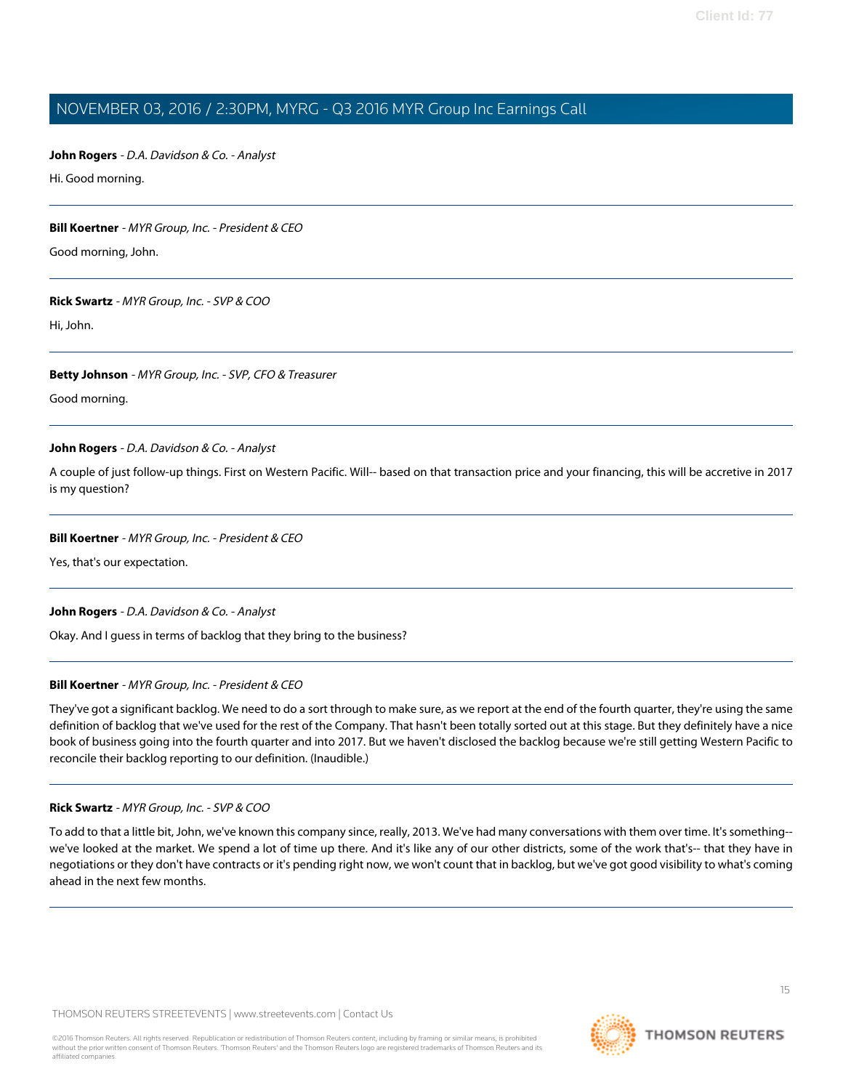# <span id="page-14-0"></span>**John Rogers** - D.A. Davidson & Co. - Analyst

Hi. Good morning.

# **Bill Koertner** - MYR Group, Inc. - President & CEO

Good morning, John.

# **Rick Swartz** - MYR Group, Inc. - SVP & COO

Hi, John.

# **Betty Johnson** - MYR Group, Inc. - SVP, CFO & Treasurer

Good morning.

# **John Rogers** - D.A. Davidson & Co. - Analyst

A couple of just follow-up things. First on Western Pacific. Will-- based on that transaction price and your financing, this will be accretive in 2017 is my question?

# **Bill Koertner** - MYR Group, Inc. - President & CEO

Yes, that's our expectation.

# **John Rogers** - D.A. Davidson & Co. - Analyst

Okay. And I guess in terms of backlog that they bring to the business?

# **Bill Koertner** - MYR Group, Inc. - President & CEO

They've got a significant backlog. We need to do a sort through to make sure, as we report at the end of the fourth quarter, they're using the same definition of backlog that we've used for the rest of the Company. That hasn't been totally sorted out at this stage. But they definitely have a nice book of business going into the fourth quarter and into 2017. But we haven't disclosed the backlog because we're still getting Western Pacific to reconcile their backlog reporting to our definition. (Inaudible.)

# **Rick Swartz** - MYR Group, Inc. - SVP & COO

To add to that a little bit, John, we've known this company since, really, 2013. We've had many conversations with them over time. It's something- we've looked at the market. We spend a lot of time up there. And it's like any of our other districts, some of the work that's-- that they have in negotiations or they don't have contracts or it's pending right now, we won't count that in backlog, but we've got good visibility to what's coming ahead in the next few months.

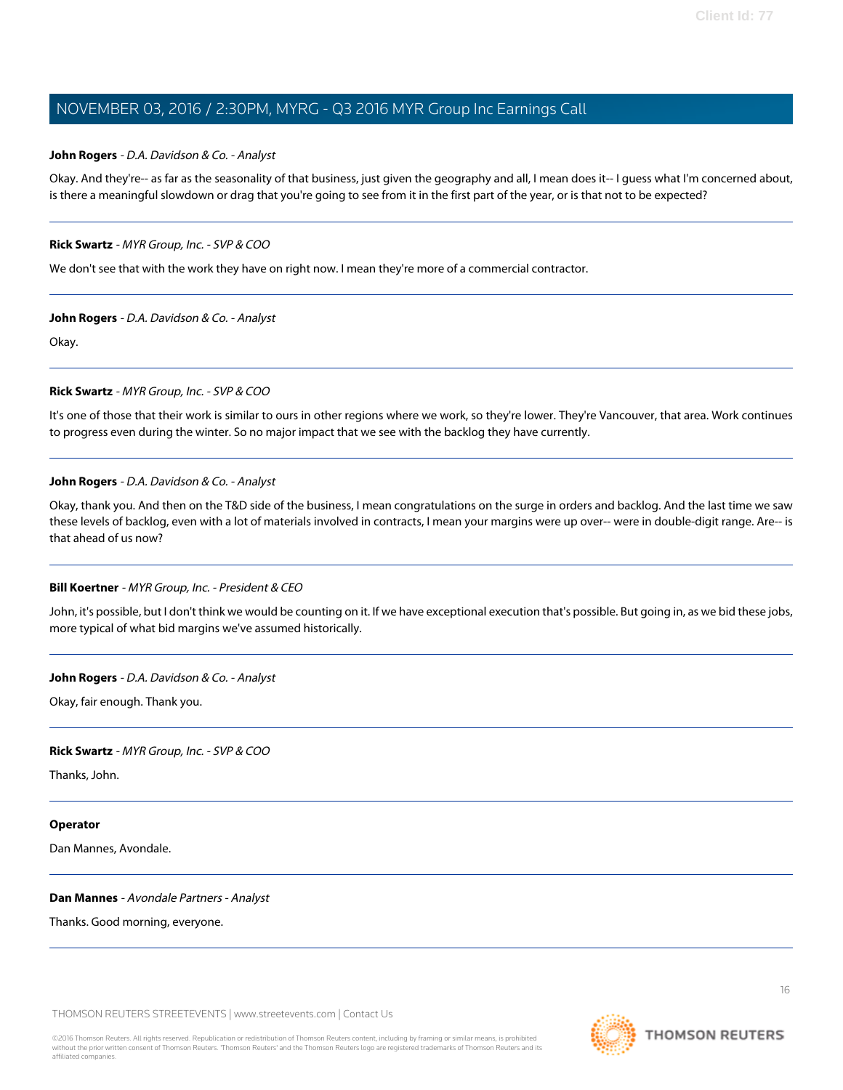# **John Rogers** - D.A. Davidson & Co. - Analyst

Okay. And they're-- as far as the seasonality of that business, just given the geography and all, I mean does it-- I guess what I'm concerned about, is there a meaningful slowdown or drag that you're going to see from it in the first part of the year, or is that not to be expected?

# **Rick Swartz** - MYR Group, Inc. - SVP & COO

We don't see that with the work they have on right now. I mean they're more of a commercial contractor.

# **John Rogers** - D.A. Davidson & Co. - Analyst

Okay.

# **Rick Swartz** - MYR Group, Inc. - SVP & COO

It's one of those that their work is similar to ours in other regions where we work, so they're lower. They're Vancouver, that area. Work continues to progress even during the winter. So no major impact that we see with the backlog they have currently.

# **John Rogers** - D.A. Davidson & Co. - Analyst

Okay, thank you. And then on the T&D side of the business, I mean congratulations on the surge in orders and backlog. And the last time we saw these levels of backlog, even with a lot of materials involved in contracts, I mean your margins were up over-- were in double-digit range. Are-- is that ahead of us now?

# **Bill Koertner** - MYR Group, Inc. - President & CEO

John, it's possible, but I don't think we would be counting on it. If we have exceptional execution that's possible. But going in, as we bid these jobs, more typical of what bid margins we've assumed historically.

# **John Rogers** - D.A. Davidson & Co. - Analyst

Okay, fair enough. Thank you.

# **Rick Swartz** - MYR Group, Inc. - SVP & COO

Thanks, John.

# <span id="page-15-0"></span>**Operator**

Dan Mannes, Avondale.

# **Dan Mannes** - Avondale Partners - Analyst

Thanks. Good morning, everyone.

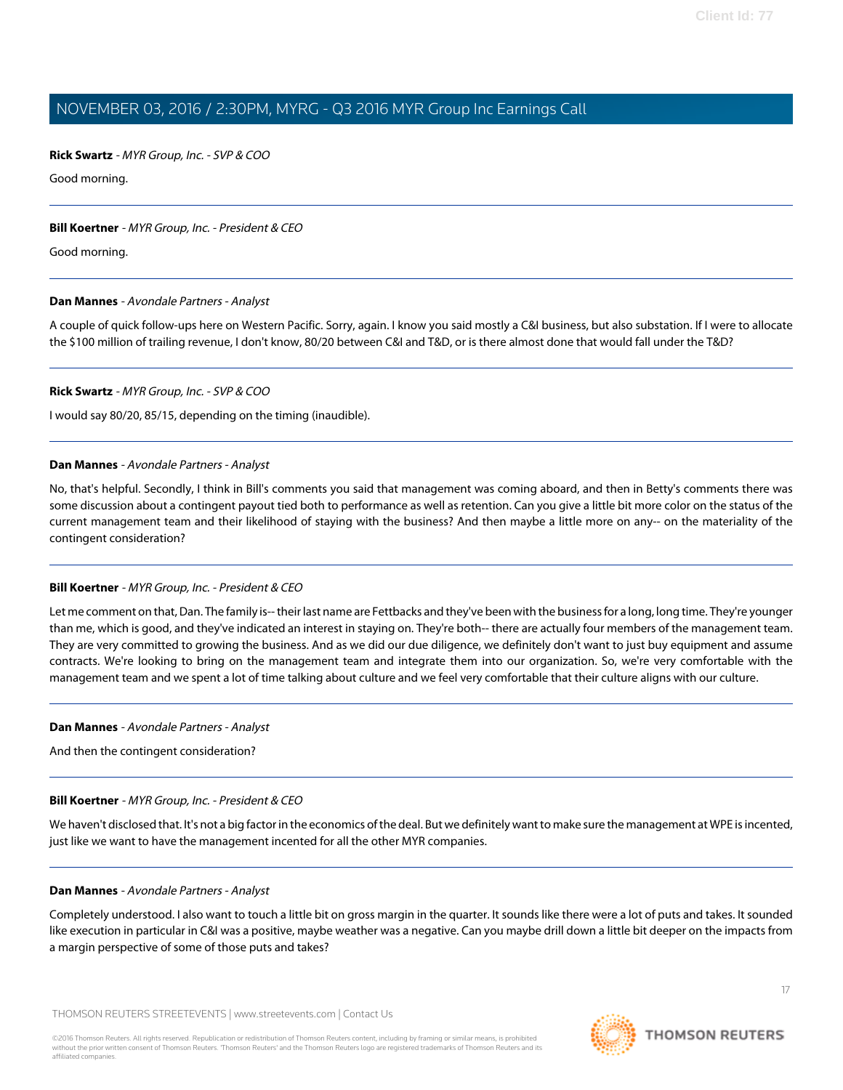### **Rick Swartz** - MYR Group, Inc. - SVP & COO

Good morning.

### **Bill Koertner** - MYR Group, Inc. - President & CEO

Good morning.

#### **Dan Mannes** - Avondale Partners - Analyst

A couple of quick follow-ups here on Western Pacific. Sorry, again. I know you said mostly a C&I business, but also substation. If I were to allocate the \$100 million of trailing revenue, I don't know, 80/20 between C&I and T&D, or is there almost done that would fall under the T&D?

#### **Rick Swartz** - MYR Group, Inc. - SVP & COO

I would say 80/20, 85/15, depending on the timing (inaudible).

#### **Dan Mannes** - Avondale Partners - Analyst

No, that's helpful. Secondly, I think in Bill's comments you said that management was coming aboard, and then in Betty's comments there was some discussion about a contingent payout tied both to performance as well as retention. Can you give a little bit more color on the status of the current management team and their likelihood of staying with the business? And then maybe a little more on any-- on the materiality of the contingent consideration?

# **Bill Koertner** - MYR Group, Inc. - President & CEO

Let me comment on that, Dan. The family is-- their last name are Fettbacks and they've been with the business for a long, long time. They're younger than me, which is good, and they've indicated an interest in staying on. They're both-- there are actually four members of the management team. They are very committed to growing the business. And as we did our due diligence, we definitely don't want to just buy equipment and assume contracts. We're looking to bring on the management team and integrate them into our organization. So, we're very comfortable with the management team and we spent a lot of time talking about culture and we feel very comfortable that their culture aligns with our culture.

#### **Dan Mannes** - Avondale Partners - Analyst

And then the contingent consideration?

#### **Bill Koertner** - MYR Group, Inc. - President & CEO

We haven't disclosed that. It's not a big factor in the economics of the deal. But we definitely want to make sure the management at WPE is incented, just like we want to have the management incented for all the other MYR companies.

#### **Dan Mannes** - Avondale Partners - Analyst

Completely understood. I also want to touch a little bit on gross margin in the quarter. It sounds like there were a lot of puts and takes. It sounded like execution in particular in C&I was a positive, maybe weather was a negative. Can you maybe drill down a little bit deeper on the impacts from a margin perspective of some of those puts and takes?

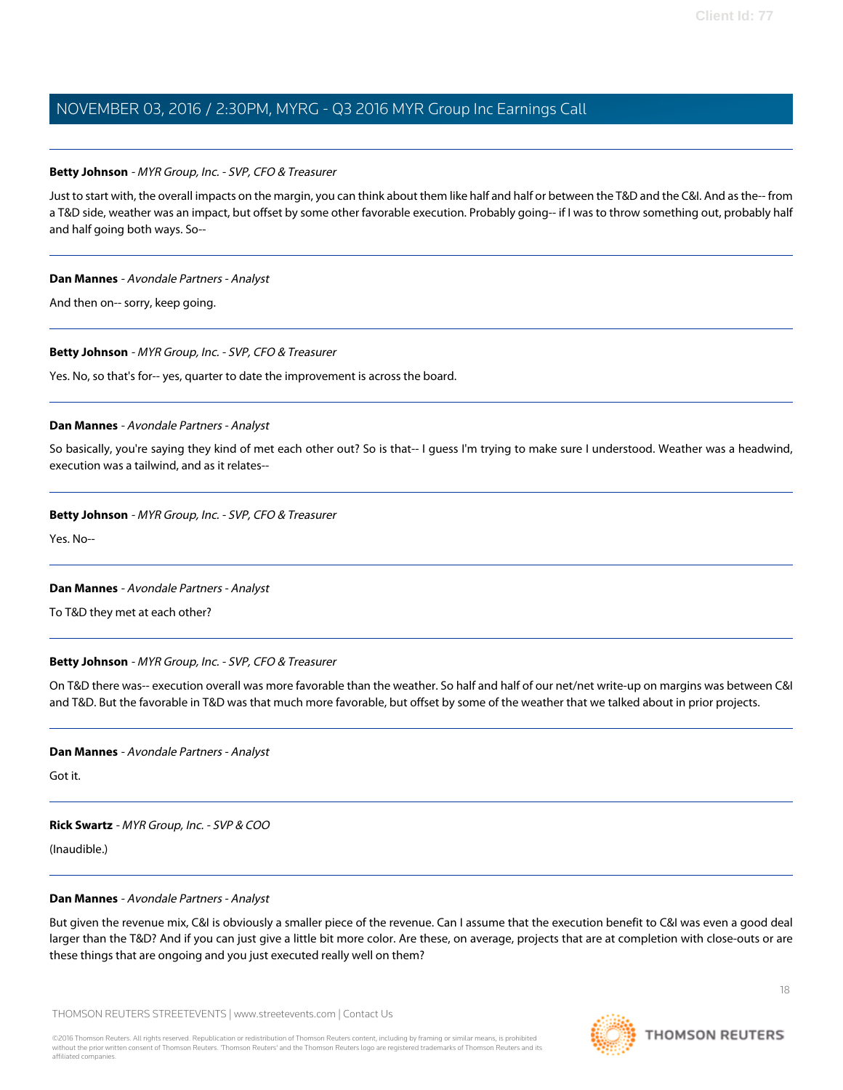# **Betty Johnson** - MYR Group, Inc. - SVP, CFO & Treasurer

Just to start with, the overall impacts on the margin, you can think about them like half and half or between the T&D and the C&I. And as the-- from a T&D side, weather was an impact, but offset by some other favorable execution. Probably going-- if I was to throw something out, probably half and half going both ways. So--

#### **Dan Mannes** - Avondale Partners - Analyst

And then on-- sorry, keep going.

# **Betty Johnson** - MYR Group, Inc. - SVP, CFO & Treasurer

Yes. No, so that's for-- yes, quarter to date the improvement is across the board.

# **Dan Mannes** - Avondale Partners - Analyst

So basically, you're saying they kind of met each other out? So is that-- I guess I'm trying to make sure I understood. Weather was a headwind, execution was a tailwind, and as it relates--

# **Betty Johnson** - MYR Group, Inc. - SVP, CFO & Treasurer

Yes. No--

# **Dan Mannes** - Avondale Partners - Analyst

To T&D they met at each other?

# **Betty Johnson** - MYR Group, Inc. - SVP, CFO & Treasurer

On T&D there was-- execution overall was more favorable than the weather. So half and half of our net/net write-up on margins was between C&I and T&D. But the favorable in T&D was that much more favorable, but offset by some of the weather that we talked about in prior projects.

# **Dan Mannes** - Avondale Partners - Analyst

Got it.

# **Rick Swartz** - MYR Group, Inc. - SVP & COO

(Inaudible.)

# **Dan Mannes** - Avondale Partners - Analyst

But given the revenue mix, C&I is obviously a smaller piece of the revenue. Can I assume that the execution benefit to C&I was even a good deal larger than the T&D? And if you can just give a little bit more color. Are these, on average, projects that are at completion with close-outs or are these things that are ongoing and you just executed really well on them?



**THOMSON REUTERS**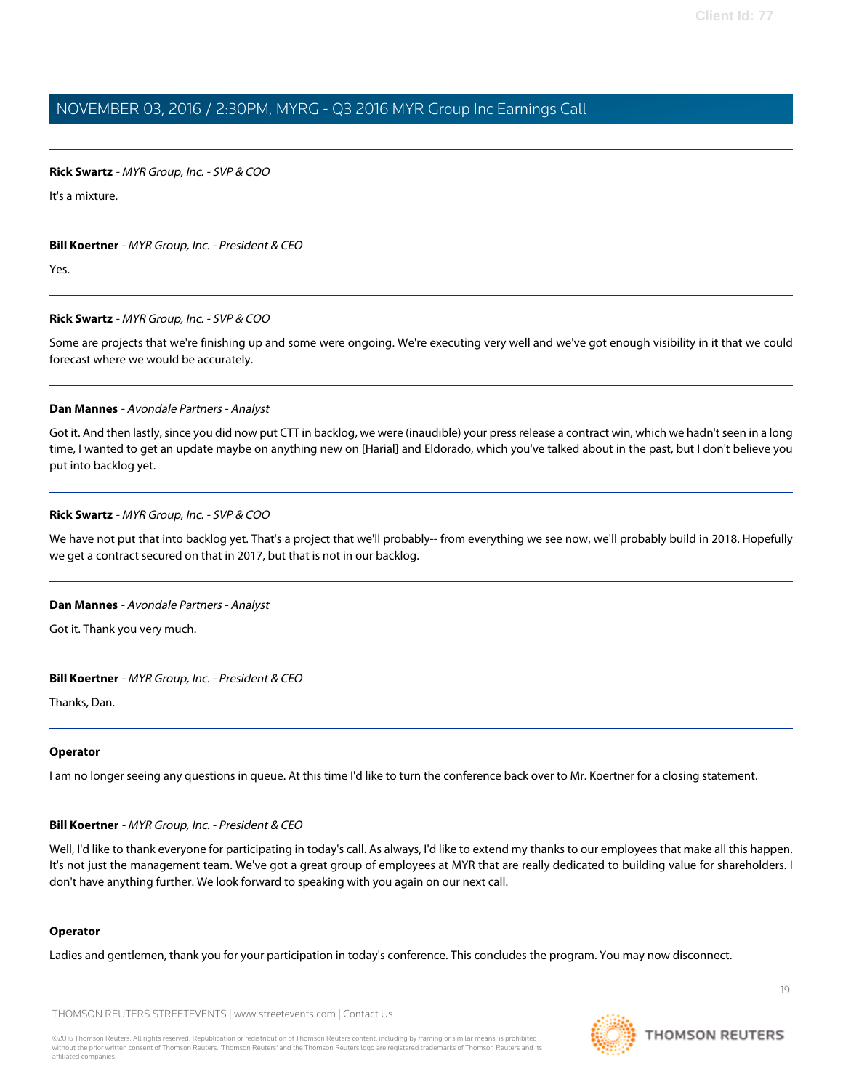# **Rick Swartz** - MYR Group, Inc. - SVP & COO

It's a mixture.

#### **Bill Koertner** - MYR Group, Inc. - President & CEO

Yes.

#### **Rick Swartz** - MYR Group, Inc. - SVP & COO

Some are projects that we're finishing up and some were ongoing. We're executing very well and we've got enough visibility in it that we could forecast where we would be accurately.

#### **Dan Mannes** - Avondale Partners - Analyst

Got it. And then lastly, since you did now put CTT in backlog, we were (inaudible) your press release a contract win, which we hadn't seen in a long time, I wanted to get an update maybe on anything new on [Harial] and Eldorado, which you've talked about in the past, but I don't believe you put into backlog yet.

# **Rick Swartz** - MYR Group, Inc. - SVP & COO

We have not put that into backlog yet. That's a project that we'll probably-- from everything we see now, we'll probably build in 2018. Hopefully we get a contract secured on that in 2017, but that is not in our backlog.

# **Dan Mannes** - Avondale Partners - Analyst

Got it. Thank you very much.

# **Bill Koertner** - MYR Group, Inc. - President & CEO

Thanks, Dan.

#### **Operator**

I am no longer seeing any questions in queue. At this time I'd like to turn the conference back over to Mr. Koertner for a closing statement.

#### **Bill Koertner** - MYR Group, Inc. - President & CEO

Well, I'd like to thank everyone for participating in today's call. As always, I'd like to extend my thanks to our employees that make all this happen. It's not just the management team. We've got a great group of employees at MYR that are really dedicated to building value for shareholders. I don't have anything further. We look forward to speaking with you again on our next call.

# **Operator**

Ladies and gentlemen, thank you for your participation in today's conference. This concludes the program. You may now disconnect.

THOMSON REUTERS STREETEVENTS | [www.streetevents.com](http://www.streetevents.com) | [Contact Us](http://www010.streetevents.com/contact.asp)



19